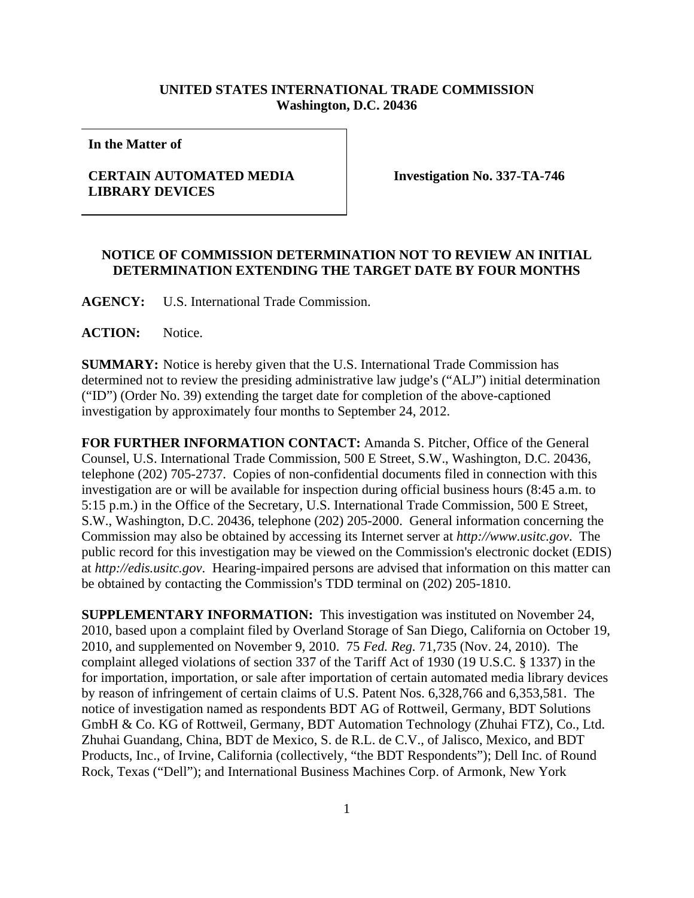## **UNITED STATES INTERNATIONAL TRADE COMMISSION Washington, D.C. 20436**

**In the Matter of** 

## **CERTAIN AUTOMATED MEDIA LIBRARY DEVICES**

**Investigation No. 337-TA-746** 

## **NOTICE OF COMMISSION DETERMINATION NOT TO REVIEW AN INITIAL DETERMINATION EXTENDING THE TARGET DATE BY FOUR MONTHS**

**AGENCY:** U.S. International Trade Commission.

**ACTION:** Notice.

**SUMMARY:** Notice is hereby given that the U.S. International Trade Commission has determined not to review the presiding administrative law judge's ("ALJ") initial determination ("ID") (Order No. 39) extending the target date for completion of the above-captioned investigation by approximately four months to September 24, 2012.

**FOR FURTHER INFORMATION CONTACT:** Amanda S. Pitcher, Office of the General Counsel, U.S. International Trade Commission, 500 E Street, S.W., Washington, D.C. 20436, telephone (202) 705-2737. Copies of non-confidential documents filed in connection with this investigation are or will be available for inspection during official business hours (8:45 a.m. to 5:15 p.m.) in the Office of the Secretary, U.S. International Trade Commission, 500 E Street, S.W., Washington, D.C. 20436, telephone (202) 205-2000. General information concerning the Commission may also be obtained by accessing its Internet server at *http://www.usitc.gov*. The public record for this investigation may be viewed on the Commission's electronic docket (EDIS) at *http://edis.usitc.gov*. Hearing-impaired persons are advised that information on this matter can be obtained by contacting the Commission's TDD terminal on (202) 205-1810.

**SUPPLEMENTARY INFORMATION:** This investigation was instituted on November 24, 2010, based upon a complaint filed by Overland Storage of San Diego, California on October 19, 2010, and supplemented on November 9, 2010. 75 *Fed. Reg.* 71,735 (Nov. 24, 2010). The complaint alleged violations of section 337 of the Tariff Act of 1930 (19 U.S.C. § 1337) in the for importation, importation, or sale after importation of certain automated media library devices by reason of infringement of certain claims of U.S. Patent Nos. 6,328,766 and 6,353,581. The notice of investigation named as respondents BDT AG of Rottweil, Germany, BDT Solutions GmbH & Co. KG of Rottweil, Germany, BDT Automation Technology (Zhuhai FTZ), Co., Ltd. Zhuhai Guandang, China, BDT de Mexico, S. de R.L. de C.V., of Jalisco, Mexico, and BDT Products, Inc., of Irvine, California (collectively, "the BDT Respondents"); Dell Inc. of Round Rock, Texas ("Dell"); and International Business Machines Corp. of Armonk, New York